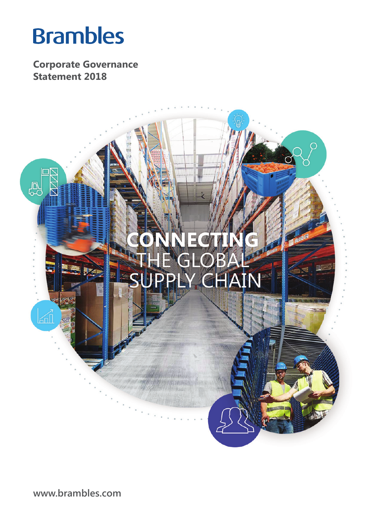# **Brambles**

**Corporate Governance Statement 2018**



**www.brambles.com**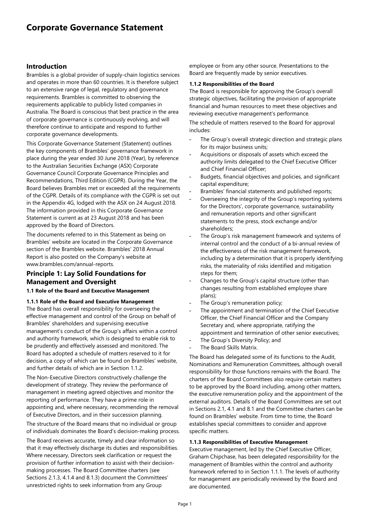## **Introduction**

Brambles is a global provider of supply-chain logistics services and operates in more than 60 countries. It is therefore subject to an extensive range of legal, regulatory and governance requirements. Brambles is committed to observing the requirements applicable to publicly listed companies in Australia. The Board is conscious that best practice in the area of corporate governance is continuously evolving, and will therefore continue to anticipate and respond to further corporate governance developments.

This Corporate Governance Statement (Statement) outlines the key components of Brambles' governance framework in place during the year ended 30 June 2018 (Year), by reference to the Australian Securities Exchange (ASX) Corporate Governance Council Corporate Governance Principles and Recommendations, Third Edition (CGPR). During the Year, the Board believes Brambles met or exceeded all the requirements of the CGPR. Details of its compliance with the CGPR is set out in the Appendix 4G, lodged with the ASX on 24 August 2018. The information provided in this Corporate Governance Statement is current as at 23 August 2018 and has been approved by the Board of Directors.

The documents referred to in this Statement as being on Brambles' website are located in the Corporate Governance section of the Brambles website. Brambles' 2018 Annual Report is also posted on the Company's website at www.brambles.com/annual-reports.

## **Principle 1: Lay Solid Foundations for Management and Oversight**

## **1.1 Role of the Board and Executive Management**

## **1.1.1 Role of the Board and Executive Management**

The Board has overall responsibility for overseeing the effective management and control of the Group on behalf of Brambles' shareholders and supervising executive management's conduct of the Group's affairs within a control and authority framework, which is designed to enable risk to be prudently and effectively assessed and monitored. The Board has adopted a schedule of matters reserved to it for decision, a copy of which can be found on Brambles' website, and further details of which are in Section 1.1.2.

The Non-Executive Directors constructively challenge the development of strategy. They review the performance of management in meeting agreed objectives and monitor the reporting of performance. They have a prime role in appointing and, where necessary, recommending the removal of Executive Directors, and in their succession planning.

The structure of the Board means that no individual or group of individuals dominates the Board's decision-making process.

The Board receives accurate, timely and clear information so that it may effectively discharge its duties and responsibilities. Where necessary, Directors seek clarification or request the provision of further information to assist with their decisionmaking processes. The Board Committee charters (see Sections 2.1.3, 4.1.4 and 8.1.3) document the Committees' unrestricted rights to seek information from any Group

employee or from any other source. Presentations to the Board are frequently made by senior executives.

#### **1.1.2 Responsibilities of the Board**

The Board is responsible for approving the Group's overall strategic objectives, facilitating the provision of appropriate financial and human resources to meet these objectives and reviewing executive management's performance.

The schedule of matters reserved to the Board for approval includes:

- The Group's overall strategic direction and strategic plans for its major business units;
- Acquisitions or disposals of assets which exceed the authority limits delegated to the Chief Executive Officer and Chief Financial Officer;
- Budgets, financial objectives and policies, and significant capital expenditure;
- Brambles' financial statements and published reports;
- Overseeing the integrity of the Group's reporting systems for the Directors', corporate governance, sustainability and remuneration reports and other significant statements to the press, stock exchange and/or shareholders;
- The Group's risk management framework and systems of internal control and the conduct of a bi-annual review of the effectiveness of the risk management framework, including by a determination that it is properly identifying risks, the materiality of risks identified and mitigation steps for them;
- Changes to the Group's capital structure (other than changes resulting from established employee share plans);
- The Group's remuneration policy;
- The appointment and termination of the Chief Executive Officer, the Chief Financial Officer and the Company Secretary and, where appropriate, ratifying the appointment and termination of other senior executives;
- The Group's Diversity Policy; and
- The Board Skills Matrix.

The Board has delegated some of its functions to the Audit, Nominations and Remuneration Committees, although overall responsibility for those functions remains with the Board. The charters of the Board Committees also require certain matters to be approved by the Board including, among other matters, the executive remuneration policy and the appointment of the external auditors. Details of the Board Committees are set out in Sections 2.1, 4.1 and 8.1 and the Committee charters can be found on Brambles' website. From time to time, the Board establishes special committees to consider and approve specific matters.

#### **1.1.3 Responsibilities of Executive Management**

Executive management, led by the Chief Executive Officer, Graham Chipchase, has been delegated responsibility for the management of Brambles within the control and authority framework referred to in Section 1.1.1. The levels of authority for management are periodically reviewed by the Board and are documented.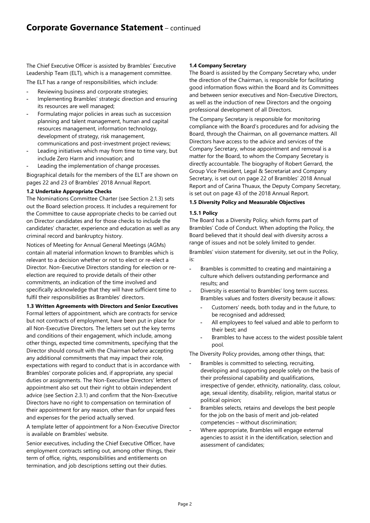The Chief Executive Officer is assisted by Brambles' Executive Leadership Team (ELT), which is a management committee.

The ELT has a range of responsibilities, which include:

- Reviewing business and corporate strategies;
- Implementing Brambles' strategic direction and ensuring its resources are well managed;
- Formulating major policies in areas such as succession planning and talent management, human and capital resources management, information technology, development of strategy, risk management, communications and post-investment project reviews;
- Leading initiatives which may from time to time vary, but include Zero Harm and innovation; and
- Leading the implementation of change processes.

Biographical details for the members of the ELT are shown on pages 22 and 23 of Brambles' 2018 Annual Report.

## **1.2 Undertake Appropriate Checks**

The Nominations Committee Charter (see Section 2.1.3) sets out the Board selection process. It includes a requirement for the Committee to cause appropriate checks to be carried out on Director candidates and for those checks to include the candidates' character, experience and education as well as any criminal record and bankruptcy history.

Notices of Meeting for Annual General Meetings (AGMs) contain all material information known to Brambles which is relevant to a decision whether or not to elect or re-elect a Director. Non-Executive Directors standing for election or reelection are required to provide details of their other commitments, an indication of the time involved and specifically acknowledge that they will have sufficient time to fulfil their responsibilities as Brambles' directors.

**1.3 Written Agreements with Directors and Senior Executives**  Formal letters of appointment, which are contracts for service but not contracts of employment, have been put in place for all Non-Executive Directors. The letters set out the key terms and conditions of their engagement, which include, among other things, expected time commitments, specifying that the Director should consult with the Chairman before accepting any additional commitments that may impact their role, expectations with regard to conduct that is in accordance with Brambles' corporate policies and, if appropriate, any special duties or assignments. The Non-Executive Directors' letters of appointment also set out their right to obtain independent advice (see Section 2.3.1) and confirm that the Non-Executive Directors have no right to compensation on termination of their appointment for any reason, other than for unpaid fees and expenses for the period actually served.

A template letter of appointment for a Non-Executive Director is available on Brambles' website.

Senior executives, including the Chief Executive Officer, have employment contracts setting out, among other things, their term of office, rights, responsibilities and entitlements on termination, and job descriptions setting out their duties.

## **1.4 Company Secretary**

The Board is assisted by the Company Secretary who, under the direction of the Chairman, is responsible for facilitating good information flows within the Board and its Committees and between senior executives and Non-Executive Directors, as well as the induction of new Directors and the ongoing professional development of all Directors.

The Company Secretary is responsible for monitoring compliance with the Board's procedures and for advising the Board, through the Chairman, on all governance matters. All Directors have access to the advice and services of the Company Secretary, whose appointment and removal is a matter for the Board, to whom the Company Secretary is directly accountable. The biography of Robert Gerrard, the Group Vice President, Legal & Secretariat and Company Secretary, is set out on page 22 of Brambles' 2018 Annual Report and of Carina Thuaux, the Deputy Company Secretary, is set out on page 43 of the 2018 Annual Report.

## **1.5 Diversity Policy and Measurable Objectives**

## **1.5.1 Policy**

The Board has a Diversity Policy, which forms part of Brambles' Code of Conduct. When adopting the Policy, the Board believed that it should deal with diversity across a range of issues and not be solely limited to gender. Brambles' vision statement for diversity, set out in the Policy, is:

- Brambles is committed to creating and maintaining a culture which delivers outstanding performance and results; and
- Diversity is essential to Brambles' long term success. Brambles values and fosters diversity because it allows:
	- Customers' needs, both today and in the future, to be recognised and addressed;
	- All employees to feel valued and able to perform to their best; and
	- Brambles to have access to the widest possible talent pool.

The Diversity Policy provides, among other things, that:

- Brambles is committed to selecting, recruiting, developing and supporting people solely on the basis of their professional capability and qualifications, irrespective of gender, ethnicity, nationality, class, colour, age, sexual identity, disability, religion, marital status or political opinion;
- Brambles selects, retains and develops the best people for the job on the basis of merit and job-related competencies – without discrimination;
- Where appropriate, Brambles will engage external agencies to assist it in the identification, selection and assessment of candidates;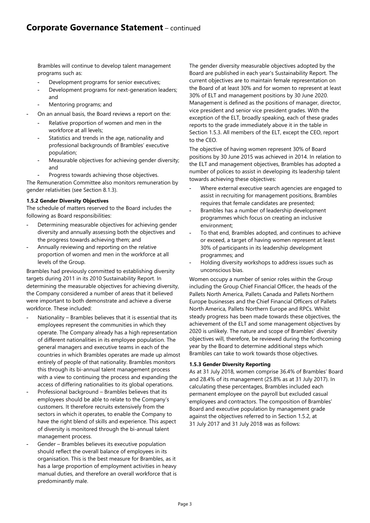Brambles will continue to develop talent management programs such as:

- Development programs for senior executives;
- Development programs for next-generation leaders; and
- Mentoring programs; and
- On an annual basis, the Board reviews a report on the:
	- Relative proportion of women and men in the workforce at all levels;
	- Statistics and trends in the age, nationality and professional backgrounds of Brambles' executive population;
	- Measurable objectives for achieving gender diversity; and
		- Progress towards achieving those objectives.

The Remuneration Committee also monitors remuneration by gender relativities (see Section 8.1.3).

## **1.5.2 Gender Diversity Objectives**

The schedule of matters reserved to the Board includes the following as Board responsibilities:

- Determining measurable objectives for achieving gender diversity and annually assessing both the objectives and the progress towards achieving them; and
- Annually reviewing and reporting on the relative proportion of women and men in the workforce at all levels of the Group.

Brambles had previously committed to establishing diversity targets during 2011 in its 2010 Sustainability Report. In determining the measurable objectives for achieving diversity, the Company considered a number of areas that it believed were important to both demonstrate and achieve a diverse workforce. These included:

- Nationality Brambles believes that it is essential that its employees represent the communities in which they operate. The Company already has a high representation of different nationalities in its employee population. The general managers and executive teams in each of the countries in which Brambles operates are made up almost entirely of people of that nationality. Brambles monitors this through its bi-annual talent management process with a view to continuing the process and expanding the access of differing nationalities to its global operations.
- Professional background Brambles believes that its employees should be able to relate to the Company's customers. It therefore recruits extensively from the sectors in which it operates, to enable the Company to have the right blend of skills and experience. This aspect of diversity is monitored through the bi-annual talent management process.
- Gender Brambles believes its executive population should reflect the overall balance of employees in its organisation. This is the best measure for Brambles, as it has a large proportion of employment activities in heavy manual duties, and therefore an overall workforce that is predominantly male.

The gender diversity measurable objectives adopted by the Board are published in each year's Sustainability Report. The current objectives are to maintain female representation on the Board of at least 30% and for women to represent at least 30% of ELT and management positions by 30 June 2020. Management is defined as the positions of manager, director, vice president and senior vice president grades. With the exception of the ELT, broadly speaking, each of these grades reports to the grade immediately above it in the table in Section 1.5.3. All members of the ELT, except the CEO, report to the CEO.

The objective of having women represent 30% of Board positions by 30 June 2015 was achieved in 2014. In relation to the ELT and management objectives, Brambles has adopted a number of polices to assist in developing its leadership talent towards achieving these objectives:

- Where external executive search agencies are engaged to assist in recruiting for management positions, Brambles requires that female candidates are presented;
- Brambles has a number of leadership development programmes which focus on creating an inclusive environment;
- To that end, Brambles adopted, and continues to achieve or exceed, a target of having women represent at least 30% of participants in its leadership development programmes; and
- Holding diversity workshops to address issues such as unconscious bias.

Women occupy a number of senior roles within the Group including the Group Chief Financial Officer, the heads of the Pallets North America, Pallets Canada and Pallets Northern Europe businesses and the Chief Financial Officers of Pallets North America, Pallets Northern Europe and RPCs. Whilst steady progress has been made towards these objectives, the achievement of the ELT and some management objectives by 2020 is unlikely. The nature and scope of Brambles' diversity objectives will, therefore, be reviewed during the forthcoming year by the Board to determine additional steps which Brambles can take to work towards those objectives.

## **1.5.3 Gender Diversity Reporting**

As at 31 July 2018, women comprise 36.4% of Brambles' Board and 28.4% of its management (25.8% as at 31 July 2017). In calculating these percentages, Brambles included each permanent employee on the payroll but excluded casual employees and contractors. The composition of Brambles' Board and executive population by management grade against the objectives referred to in Section 1.5.2, at 31 July 2017 and 31 July 2018 was as follows: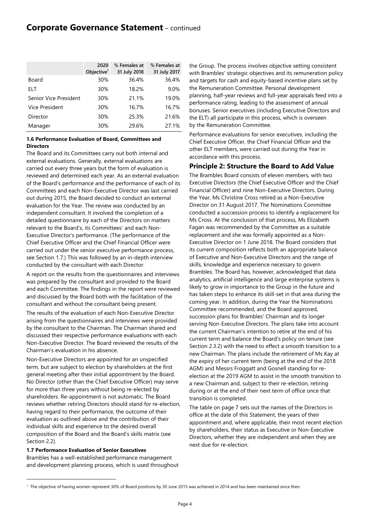|                              | 2020<br>Objective $1$ | % Females at<br>31 July 2018 | % Females at<br>31 July 2017 |
|------------------------------|-----------------------|------------------------------|------------------------------|
| Board                        | 30%                   | 36.4%                        | 36.4%                        |
| ELT                          | 30%                   | 18.2%                        | 9.0%                         |
| <b>Senior Vice President</b> | 30%                   | 21.1%                        | 19.0%                        |
| Vice President               | 30%                   | 16.7%                        | 16.7%                        |
| Director                     | 30%                   | 25.3%                        | 21.6%                        |
| Manager                      | 30%                   | 29.6%                        | 27.1%                        |

## **1.6 Performance Evaluation of Board, Committees and Directors**

The Board and its Committees carry out both internal and external evaluations. Generally, external evaluations are carried out every three years but the form of evaluation is reviewed and determined each year. As an external evaluation of the Board's performance and the performance of each of its Committees and each Non-Executive Director was last carried out during 2015, the Board decided to conduct an external evaluation for the Year. The review was conducted by an independent consultant. It involved the completion of a detailed questionnaire by each of the Directors on matters relevant to the Board's, its Committees' and each Non-Executive Director's performance. (The performance of the Chief Executive Officer and the Chief Financial Officer were carried out under the senior executive performance process, see Section 1.7.) This was followed by an in-depth interview conducted by the consultant with each Director.

A report on the results from the questionnaires and interviews was prepared by the consultant and provided to the Board and each Committee. The findings in the report were reviewed and discussed by the Board both with the facilitation of the consultant and without the consultant being present.

The results of the evaluation of each Non-Executive Director arising from the questionnaires and interviews were provided by the consultant to the Chairman. The Chairman shared and discussed their respective performance evaluations with each Non-Executive Director. The Board reviewed the results of the Chairman's evaluation in his absence.

Non-Executive Directors are appointed for an unspecified term, but are subject to election by shareholders at the first general meeting after their initial appointment by the Board. No Director (other than the Chief Executive Officer) may serve for more than three years without being re-elected by shareholders. Re-appointment is not automatic. The Board reviews whether retiring Directors should stand for re-election, having regard to their performance, the outcome of their evaluation as outlined above and the contribution of their individual skills and experience to the desired overall composition of the Board and the Board's skills matrix (see Section 2.2).

**1.7 Performance Evaluation of Senior Executives** 

 $\overline{a}$ 

Brambles has a well-established performance management and development planning process, which is used throughout the Group. The process involves objective setting consistent with Brambles' strategic objectives and its remuneration policy and targets for cash and equity-based incentive plans set by the Remuneration Committee. Personal development planning, half-year reviews and full-year appraisals feed into a performance rating, leading to the assessment of annual bonuses. Senior executives (including Executive Directors and the ELT) all participate in this process, which is overseen by the Remuneration Committee.

Performance evaluations for senior executives, including the Chief Executive Officer, the Chief Financial Officer and the other ELT members, were carried out during the Year in accordance with this process.

## **Principle 2: Structure the Board to Add Value**

The Brambles Board consists of eleven members, with two Executive Directors (the Chief Executive Officer and the Chief Financial Officer) and nine Non-Executive Directors. During the Year, Ms Christine Cross retired as a Non-Executive Director on 31 August 2017. The Nominations Committee conducted a succession process to identify a replacement for Ms Cross. At the conclusion of that process, Ms Elizabeth Fagan was recommended by the Committee as a suitable replacement and she was formally appointed as a Non-Executive Director on 1 June 2018. The Board considers that its current composition reflects both an appropriate balance of Executive and Non-Executive Directors and the range of skills, knowledge and experience necessary to govern Brambles. The Board has, however, acknowledged that data analytics, artificial intelligence and large enterprise systems is likely to grow in importance to the Group in the future and has taken steps to enhance its skill-set in that area during the coming year. In addition, during the Year the Nominations Committee recommended, and the Board approved, succession plans for Brambles' Chairman and its longer serving Non-Executive Directors. The plans take into account the current Chairman's intention to retire at the end of his current term and balance the Board's policy on tenure (see Section 2.3.2) with the need to effect a smooth transition to a new Chairman. The plans include the retirement of Ms Kay at the expiry of her current term (being at the end of the 2018 AGM) and Messrs Froggatt and Gosnell standing for reelection at the 2019 AGM to assist in the smooth transition to a new Chairman and, subject to their re-election, retiring during or at the end of their next term of office once that transition is completed.

The table on page 7 sets out the names of the Directors in office at the date of this Statement, the years of their appointment and, where applicable, their most recent election by shareholders, their status as Executive or Non-Executive Directors, whether they are independent and when they are next due for re-election.

<sup>1</sup> The objective of having women represent 30% of Board positions by 30 June 2015 was achieved in 2014 and has been maintained since then.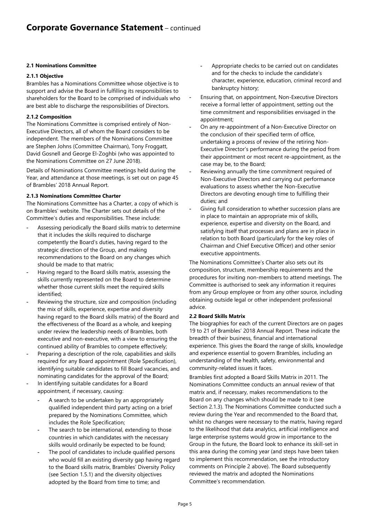## **2.1 Nominations Committee**

#### **2.1.1 Objective**

Brambles has a Nominations Committee whose objective is to support and advise the Board in fulfilling its responsibilities to shareholders for the Board to be comprised of individuals who are best able to discharge the responsibilities of Directors.

## **2.1.2 Composition**

The Nominations Committee is comprised entirely of Non-Executive Directors, all of whom the Board considers to be independent. The members of the Nominations Committee are Stephen Johns (Committee Chairman), Tony Froggatt, David Gosnell and George El-Zoghbi (who was appointed to the Nominations Committee on 27 June 2018).

Details of Nominations Committee meetings held during the Year, and attendance at those meetings, is set out on page 45 of Brambles' 2018 Annual Report.

## **2.1.3 Nominations Committee Charter**

The Nominations Committee has a Charter, a copy of which is on Brambles' website. The Charter sets out details of the Committee's duties and responsibilities. These include:

- Assessing periodically the Board skills matrix to determine that it includes the skills required to discharge competently the Board's duties, having regard to the strategic direction of the Group, and making recommendations to the Board on any changes which should be made to that matrix;
- Having regard to the Board skills matrix, assessing the skills currently represented on the Board to determine whether those current skills meet the required skills identified;
- Reviewing the structure, size and composition (including the mix of skills, experience, expertise and diversity having regard to the Board skills matrix) of the Board and the effectiveness of the Board as a whole, and keeping under review the leadership needs of Brambles, both executive and non-executive, with a view to ensuring the continued ability of Brambles to compete effectively;
- Preparing a description of the role, capabilities and skills required for any Board appointment (Role Specification), identifying suitable candidates to fill Board vacancies, and nominating candidates for the approval of the Board;
- In identifying suitable candidates for a Board appointment, if necessary, causing:
	- A search to be undertaken by an appropriately qualified independent third party acting on a brief prepared by the Nominations Committee, which includes the Role Specification;
	- The search to be international, extending to those countries in which candidates with the necessary skills would ordinarily be expected to be found;
	- The pool of candidates to include qualified persons who would fill an existing diversity gap having regard to the Board skills matrix, Brambles' Diversity Policy (see Section 1.5.1) and the diversity objectives adopted by the Board from time to time; and
- Appropriate checks to be carried out on candidates and for the checks to include the candidate's character, experience, education, criminal record and bankruptcy history;
- Ensuring that, on appointment, Non-Executive Directors receive a formal letter of appointment, setting out the time commitment and responsibilities envisaged in the appointment;
- On any re-appointment of a Non-Executive Director on the conclusion of their specified term of office, undertaking a process of review of the retiring Non-Executive Director's performance during the period from their appointment or most recent re-appointment, as the case may be, to the Board;
- Reviewing annually the time commitment required of Non-Executive Directors and carrying out performance evaluations to assess whether the Non-Executive Directors are devoting enough time to fulfilling their duties; and
- Giving full consideration to whether succession plans are in place to maintain an appropriate mix of skills, experience, expertise and diversity on the Board, and satisfying itself that processes and plans are in place in relation to both Board (particularly for the key roles of Chairman and Chief Executive Officer) and other senior executive appointments.

The Nominations Committee's Charter also sets out its composition, structure, membership requirements and the procedures for inviting non-members to attend meetings. The Committee is authorised to seek any information it requires from any Group employee or from any other source, including obtaining outside legal or other independent professional advice.

## **2.2 Board Skills Matrix**

The biographies for each of the current Directors are on pages 19 to 21 of Brambles' 2018 Annual Report. These indicate the breadth of their business, financial and international experience. This gives the Board the range of skills, knowledge and experience essential to govern Brambles, including an understanding of the health, safety, environmental and community-related issues it faces.

Brambles first adopted a Board Skills Matrix in 2011. The Nominations Committee conducts an annual review of that matrix and, if necessary, makes recommendations to the Board on any changes which should be made to it (see Section 2.1.3). The Nominations Committee conducted such a review during the Year and recommended to the Board that, whilst no changes were necessary to the matrix, having regard to the likelihood that data analytics, artificial intelligence and large enterprise systems would grow in importance to the Group in the future, the Board look to enhance its skill-set in this area during the coming year (and steps have been taken to implement this recommendation, see the introductory comments on Principle 2 above). The Board subsequently reviewed the matrix and adopted the Nominations Committee's recommendation.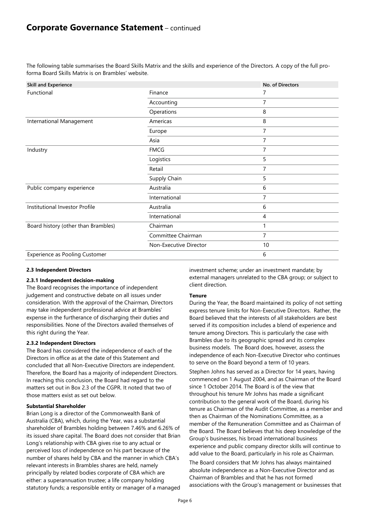The following table summarises the Board Skills Matrix and the skills and experience of the Directors. A copy of the full proforma Board Skills Matrix is on Brambles' website.

| <b>Skill and Experience</b>           |                        | No. of Directors |
|---------------------------------------|------------------------|------------------|
| Functional                            | Finance                |                  |
|                                       | Accounting             | 7                |
|                                       | Operations             | 8                |
| International Management              | Americas               | 8                |
|                                       | Europe                 | 7                |
|                                       | Asia                   | 7                |
| Industry                              | <b>FMCG</b>            | 7                |
|                                       | Logistics              | 5                |
|                                       | Retail                 | 7                |
|                                       | Supply Chain           | 5                |
| Public company experience             | Australia              | 6                |
|                                       | International          | 7                |
| Institutional Investor Profile        | Australia              | 6                |
|                                       | International          | 4                |
| Board history (other than Brambles)   | Chairman               |                  |
|                                       | Committee Chairman     | 7                |
|                                       | Non-Executive Director | 10               |
| <b>Experience as Pooling Customer</b> |                        | 6                |

## **2.3 Independent Directors**

## **2.3.1 Independent decision-making**

The Board recognises the importance of independent judgement and constructive debate on all issues under consideration. With the approval of the Chairman, Directors may take independent professional advice at Brambles' expense in the furtherance of discharging their duties and responsibilities. None of the Directors availed themselves of this right during the Year.

## **2.3.2 Independent Directors**

The Board has considered the independence of each of the Directors in office as at the date of this Statement and concluded that all Non-Executive Directors are independent. Therefore, the Board has a majority of independent Directors. In reaching this conclusion, the Board had regard to the matters set out in Box 2.3 of the CGPR. It noted that two of those matters exist as set out below.

#### **Substantial Shareholder**

Brian Long is a director of the Commonwealth Bank of Australia (CBA), which, during the Year, was a substantial shareholder of Brambles holding between 7.46% and 6.26% of its issued share capital. The Board does not consider that Brian Long's relationship with CBA gives rise to any actual or perceived loss of independence on his part because of the number of shares held by CBA and the manner in which CBA's relevant interests in Brambles shares are held, namely principally by related bodies corporate of CBA which are either: a superannuation trustee; a life company holding statutory funds; a responsible entity or manager of a managed

investment scheme; under an investment mandate; by external managers unrelated to the CBA group; or subject to client direction.

#### **Tenure**

During the Year, the Board maintained its policy of not setting express tenure limits for Non-Executive Directors. Rather, the Board believed that the interests of all stakeholders are best served if its composition includes a blend of experience and tenure among Directors. This is particularly the case with Brambles due to its geographic spread and its complex business models. The Board does, however, assess the independence of each Non-Executive Director who continues to serve on the Board beyond a term of 10 years.

Stephen Johns has served as a Director for 14 years, having commenced on 1 August 2004, and as Chairman of the Board since 1 October 2014. The Board is of the view that throughout his tenure Mr Johns has made a significant contribution to the general work of the Board, during his tenure as Chairman of the Audit Committee, as a member and then as Chairman of the Nominations Committee, as a member of the Remuneration Committee and as Chairman of the Board. The Board believes that his deep knowledge of the Group's businesses, his broad international business experience and public company director skills will continue to add value to the Board, particularly in his role as Chairman.

The Board considers that Mr Johns has always maintained absolute independence as a Non-Executive Director and as Chairman of Brambles and that he has not formed associations with the Group's management or businesses that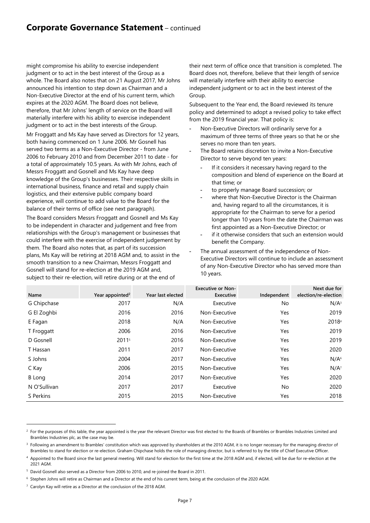## **Corporate Governance Statement** – continued

might compromise his ability to exercise independent judgment or to act in the best interest of the Group as a whole. The Board also notes that on 21 August 2017, Mr Johns announced his intention to step down as Chairman and a Non-Executive Director at the end of his current term, which expires at the 2020 AGM. The Board does not believe, therefore, that Mr Johns' length of service on the Board will materially interfere with his ability to exercise independent judgment or to act in the best interests of the Group.

Mr Froggatt and Ms Kay have served as Directors for 12 years, both having commenced on 1 June 2006. Mr Gosnell has served two terms as a Non-Executive Director - from June 2006 to February 2010 and from December 2011 to date - for a total of approximately 10.5 years. As with Mr Johns, each of Messrs Froggatt and Gosnell and Ms Kay have deep knowledge of the Group's businesses. Their respective skills in international business, finance and retail and supply chain logistics, and their extensive public company board experience, will continue to add value to the Board for the balance of their terms of office (see next paragraph).

The Board considers Messrs Froggatt and Gosnell and Ms Kay to be independent in character and judgement and free from relationships with the Group's management or businesses that could interfere with the exercise of independent judgement by them. The Board also notes that, as part of its succession plans, Ms Kay will be retiring at 2018 AGM and, to assist in the smooth transition to a new Chairman, Messrs Froggatt and Gosnell will stand for re-election at the 2019 AGM and, subject to their re-election, will retire during or at the end of

their next term of office once that transition is completed. The Board does not, therefore, believe that their length of service will materially interfere with their ability to exercise independent judgment or to act in the best interest of the Group.

Subsequent to the Year end, the Board reviewed its tenure policy and determined to adopt a revised policy to take effect from the 2019 financial year. That policy is:

- Non-Executive Directors will ordinarily serve for a maximum of three terms of three years so that he or she serves no more than ten years.
- The Board retains discretion to invite a Non-Executive Director to serve beyond ten years:
	- If it considers it necessary having regard to the composition and blend of experience on the Board at that time; or
	- to properly manage Board succession; or
	- where that Non-Executive Director is the Chairman and, having regard to all the circumstances, it is appropriate for the Chairman to serve for a period longer than 10 years from the date the Chairman was first appointed as a Non-Executive Director; or
	- if it otherwise considers that such an extension would benefit the Company.
- The annual assessment of the independence of Non-Executive Directors will continue to include an assessment of any Non-Executive Director who has served more than 10 years.

| Name          | Year appointed <sup>2</sup> | Year last elected | <b>Executive or Non-</b><br>Executive | Independent | Next due for<br>election/re-election |
|---------------|-----------------------------|-------------------|---------------------------------------|-------------|--------------------------------------|
| G Chipchase   | 2017                        | N/A               | Executive                             | No          | N/A <sup>3</sup>                     |
| G El Zoghbi   | 2016                        | 2016              | Non-Executive                         | Yes         | 2019                                 |
| E Fagan       | 2018                        | N/A               | Non-Executive                         | Yes         | 20184                                |
| T Froggatt    | 2006                        | 2016              | Non-Executive                         | Yes         | 2019                                 |
| D Gosnell     | 20115                       | 2016              | Non-Executive                         | Yes         | 2019                                 |
| T Hassan      | 2011                        | 2017              | Non-Executive                         | Yes         | 2020                                 |
| S Johns       | 2004                        | 2017              | Non-Executive                         | Yes         | N/A <sup>6</sup>                     |
| C Kay         | 2006                        | 2015              | Non-Executive                         | Yes         | $N/A^7$                              |
| <b>B</b> Long | 2014                        | 2017              | Non-Executive                         | Yes         | 2020                                 |
| N O'Sullivan  | 2017                        | 2017              | Executive                             | No.         | 2020                                 |
| S Perkins     | 2015                        | 2015              | Non-Executive                         | Yes         | 2018                                 |

 $\overline{a}$ 

<sup>&</sup>lt;sup>2</sup> For the purposes of this table, the year appointed is the year the relevant Director was first elected to the Boards of Brambles or Brambles Industries Limited and Brambles Industries plc, as the case may be.

<sup>&</sup>lt;sup>3</sup> Following an amendment to Brambles' constitution which was approved by shareholders at the 2010 AGM, it is no longer necessary for the managing director of Brambles to stand for election or re-election. Graham Chipchase holds the role of managing director, but is referred to by the title of Chief Executive Officer.

<sup>&</sup>lt;sup>4</sup> Appointed to the Board since the last general meeting. Will stand for election for the first time at the 2018 AGM and, if elected, will be due for re-election at the 2021 AGM.

<sup>&</sup>lt;sup>5</sup> David Gosnell also served as a Director from 2006 to 2010, and re-joined the Board in 2011.

<sup>6</sup> Stephen Johns will retire as Chairman and a Director at the end of his current term, being at the conclusion of the 2020 AGM.

<sup>&</sup>lt;sup>7</sup> Carolyn Kay will retire as a Director at the conclusion of the 2018 AGM.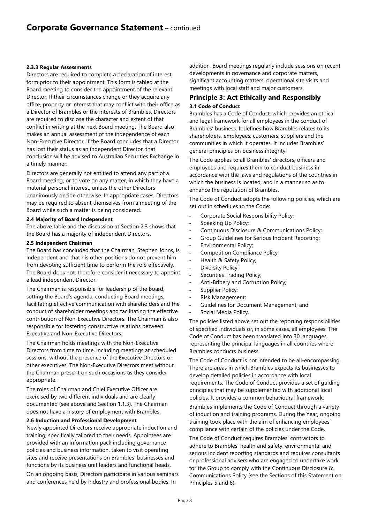#### **2.3.3 Regular Assessments**

Directors are required to complete a declaration of interest form prior to their appointment. This form is tabled at the Board meeting to consider the appointment of the relevant Director. If their circumstances change or they acquire any office, property or interest that may conflict with their office as a Director of Brambles or the interests of Brambles, Directors are required to disclose the character and extent of that conflict in writing at the next Board meeting. The Board also makes an annual assessment of the independence of each Non-Executive Director. If the Board concludes that a Director has lost their status as an independent Director, that conclusion will be advised to Australian Securities Exchange in a timely manner.

Directors are generally not entitled to attend any part of a Board meeting, or to vote on any matter, in which they have a material personal interest, unless the other Directors unanimously decide otherwise. In appropriate cases, Directors may be required to absent themselves from a meeting of the Board while such a matter is being considered.

#### **2.4 Majority of Board Independent**

The above table and the discussion at Section 2.3 shows that the Board has a majority of independent Directors.

#### **2.5 Independent Chairman**

The Board has concluded that the Chairman, Stephen Johns, is independent and that his other positions do not prevent him from devoting sufficient time to perform the role effectively. The Board does not, therefore consider it necessary to appoint a lead independent Director.

The Chairman is responsible for leadership of the Board, setting the Board's agenda, conducting Board meetings, facilitating effective communication with shareholders and the conduct of shareholder meetings and facilitating the effective contribution of Non-Executive Directors. The Chairman is also responsible for fostering constructive relations between Executive and Non-Executive Directors.

The Chairman holds meetings with the Non-Executive Directors from time to time, including meetings at scheduled sessions, without the presence of the Executive Directors or other executives. The Non-Executive Directors meet without the Chairman present on such occasions as they consider appropriate.

The roles of Chairman and Chief Executive Officer are exercised by two different individuals and are clearly documented (see above and Section 1.1.3). The Chairman does not have a history of employment with Brambles.

#### **2.6 Induction and Professional Development**

Newly appointed Directors receive appropriate induction and training, specifically tailored to their needs. Appointees are provided with an information pack including governance policies and business information, taken to visit operating sites and receive presentations on Brambles' businesses and functions by its business unit leaders and functional heads.

On an ongoing basis, Directors participate in various seminars and conferences held by industry and professional bodies. In

addition, Board meetings regularly include sessions on recent developments in governance and corporate matters, significant accounting matters, operational site visits and meetings with local staff and major customers.

## **Principle 3: Act Ethically and Responsibly 3.1 Code of Conduct**

Brambles has a Code of Conduct, which provides an ethical and legal framework for all employees in the conduct of Brambles' business. It defines how Brambles relates to its shareholders, employees, customers, suppliers and the communities in which it operates. It includes Brambles' general principles on business integrity.

The Code applies to all Brambles' directors, officers and employees and requires them to conduct business in accordance with the laws and regulations of the countries in which the business is located, and in a manner so as to enhance the reputation of Brambles.

The Code of Conduct adopts the following policies, which are set out in schedules to the Code:

- Corporate Social Responsibility Policy;
- Speaking Up Policy;
- Continuous Disclosure & Communications Policy;
- Group Guidelines for Serious Incident Reporting;
- Environmental Policy;
- Competition Compliance Policy;
- Health & Safety Policy;
- Diversity Policy;
- Securities Trading Policy;
- Anti-Bribery and Corruption Policy;
- Supplier Policy;
- Risk Management;
- Guidelines for Document Management; and
- Social Media Policy.

The policies listed above set out the reporting responsibilities of specified individuals or, in some cases, all employees. The Code of Conduct has been translated into 30 languages, representing the principal languages in all countries where Brambles conducts business.

The Code of Conduct is not intended to be all-encompassing. There are areas in which Brambles expects its businesses to develop detailed policies in accordance with local requirements. The Code of Conduct provides a set of guiding principles that may be supplemented with additional local policies. It provides a common behavioural framework.

Brambles implements the Code of Conduct through a variety of induction and training programs. During the Year, ongoing training took place with the aim of enhancing employees' compliance with certain of the policies under the Code.

The Code of Conduct requires Brambles' contractors to adhere to Brambles' health and safety, environmental and serious incident reporting standards and requires consultants or professional advisers who are engaged to undertake work for the Group to comply with the Continuous Disclosure & Communications Policy (see the Sections of this Statement on Principles 5 and 6).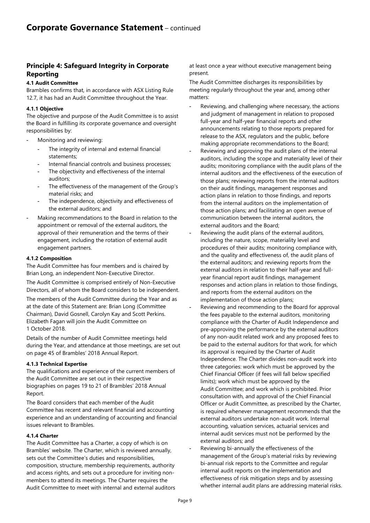## **Principle 4: Safeguard Integrity in Corporate Reporting**

## **4.1 Audit Committee**

Brambles confirms that, in accordance with ASX Listing Rule 12.7, it has had an Audit Committee throughout the Year.

## **4.1.1 Objective**

The objective and purpose of the Audit Committee is to assist the Board in fulfilling its corporate governance and oversight responsibilities by:

- Monitoring and reviewing:
	- The integrity of internal and external financial statements;
	- Internal financial controls and business processes;
	- The objectivity and effectiveness of the internal auditors;
	- The effectiveness of the management of the Group's material risks; and
	- The independence, objectivity and effectiveness of the external auditors; and
- Making recommendations to the Board in relation to the appointment or removal of the external auditors, the approval of their remuneration and the terms of their engagement, including the rotation of external audit engagement partners.

## **4.1.2 Composition**

The Audit Committee has four members and is chaired by Brian Long, an independent Non-Executive Director.

The Audit Committee is comprised entirely of Non-Executive Directors, all of whom the Board considers to be independent.

The members of the Audit Committee during the Year and as at the date of this Statement are: Brian Long (Committee Chairman), David Gosnell, Carolyn Kay and Scott Perkins. Elizabeth Fagan will join the Audit Committee on 1 October 2018.

Details of the number of Audit Committee meetings held during the Year, and attendance at those meetings, are set out on page 45 of Brambles' 2018 Annual Report.

## **4.1.3 Technical Expertise**

The qualifications and experience of the current members of the Audit Committee are set out in their respective biographies on pages 19 to 21 of Brambles' 2018 Annual Report.

The Board considers that each member of the Audit Committee has recent and relevant financial and accounting experience and an understanding of accounting and financial issues relevant to Brambles.

## **4.1.4 Charter**

The Audit Committee has a Charter, a copy of which is on Brambles' website. The Charter, which is reviewed annually, sets out the Committee's duties and responsibilities, composition, structure, membership requirements, authority and access rights, and sets out a procedure for inviting nonmembers to attend its meetings. The Charter requires the Audit Committee to meet with internal and external auditors at least once a year without executive management being present.

The Audit Committee discharges its responsibilities by meeting regularly throughout the year and, among other matters:

- Reviewing, and challenging where necessary, the actions and judgment of management in relation to proposed full-year and half-year financial reports and other announcements relating to those reports prepared for release to the ASX, regulators and the public, before making appropriate recommendations to the Board;
- Reviewing and approving the audit plans of the internal auditors, including the scope and materiality level of their audits; monitoring compliance with the audit plans of the internal auditors and the effectiveness of the execution of those plans; reviewing reports from the internal auditors on their audit findings, management responses and action plans in relation to those findings, and reports from the internal auditors on the implementation of those action plans; and facilitating an open avenue of communication between the internal auditors, the external auditors and the Board;
- Reviewing the audit plans of the external auditors, including the nature, scope, materiality level and procedures of their audits; monitoring compliance with, and the quality and effectiveness of, the audit plans of the external auditors; and reviewing reports from the external auditors in relation to their half-year and fullyear financial report audit findings, management responses and action plans in relation to those findings, and reports from the external auditors on the implementation of those action plans;
- Reviewing and recommending to the Board for approval the fees payable to the external auditors, monitoring compliance with the Charter of Audit Independence and pre-approving the performance by the external auditors of any non-audit related work and any proposed fees to be paid to the external auditors for that work, for which its approval is required by the Charter of Audit Independence. The Charter divides non-audit work into three categories: work which must be approved by the Chief Financial Officer (if fees will fall below specified limits); work which must be approved by the Audit Committee; and work which is prohibited. Prior consultation with, and approval of the Chief Financial Officer or Audit Committee, as prescribed by the Charter, is required whenever management recommends that the external auditors undertake non-audit work. Internal accounting, valuation services, actuarial services and internal audit services must not be performed by the external auditors; and
- Reviewing bi-annually the effectiveness of the management of the Group's material risks by reviewing bi-annual risk reports to the Committee and regular internal audit reports on the implementation and effectiveness of risk mitigation steps and by assessing whether internal audit plans are addressing material risks.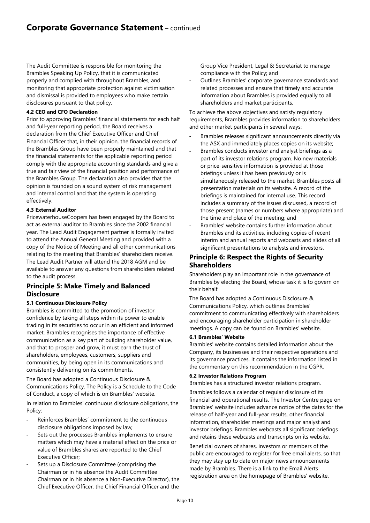The Audit Committee is responsible for monitoring the Brambles Speaking Up Policy, that it is communicated properly and complied with throughout Brambles, and monitoring that appropriate protection against victimisation and dismissal is provided to employees who make certain disclosures pursuant to that policy.

## **4.2 CEO and CFO Declaration**

Prior to approving Brambles' financial statements for each half and full-year reporting period, the Board receives a declaration from the Chief Executive Officer and Chief Financial Officer that, in their opinion, the financial records of the Brambles Group have been properly maintained and that the financial statements for the applicable reporting period comply with the appropriate accounting standards and give a true and fair view of the financial position and performance of the Brambles Group. The declaration also provides that the opinion is founded on a sound system of risk management and internal control and that the system is operating effectively.

## **4.3 External Auditor**

PricewaterhouseCoopers has been engaged by the Board to act as external auditor to Brambles since the 2002 financial year. The Lead Audit Engagement partner is formally invited to attend the Annual General Meeting and provided with a copy of the Notice of Meeting and all other communications relating to the meeting that Brambles' shareholders receive. The Lead Audit Partner will attend the 2018 AGM and be available to answer any questions from shareholders related to the audit process.

## **Principle 5: Make Timely and Balanced Disclosure**

## **5.1 Continuous Disclosure Policy**

Brambles is committed to the promotion of investor confidence by taking all steps within its power to enable trading in its securities to occur in an efficient and informed market. Brambles recognises the importance of effective communication as a key part of building shareholder value, and that to prosper and grow, it must earn the trust of shareholders, employees, customers, suppliers and communities, by being open in its communications and consistently delivering on its commitments.

The Board has adopted a Continuous Disclosure & Communications Policy. The Policy is a Schedule to the Code of Conduct, a copy of which is on Brambles' website.

In relation to Brambles' continuous disclosure obligations, the Policy:

- Reinforces Brambles' commitment to the continuous disclosure obligations imposed by law;
- Sets out the processes Brambles implements to ensure matters which may have a material effect on the price or value of Brambles shares are reported to the Chief Executive Officer;
- Sets up a Disclosure Committee (comprising the Chairman or in his absence the Audit Committee Chairman or in his absence a Non-Executive Director), the Chief Executive Officer, the Chief Financial Officer and the

Group Vice President, Legal & Secretariat to manage compliance with the Policy; and

- Outlines Brambles' corporate governance standards and related processes and ensure that timely and accurate information about Brambles is provided equally to all shareholders and market participants.

To achieve the above objectives and satisfy regulatory requirements, Brambles provides information to shareholders and other market participants in several ways:

- Brambles releases significant announcements directly via the ASX and immediately places copies on its website;
- Brambles conducts investor and analyst briefings as a part of its investor relations program. No new materials or price-sensitive information is provided at those briefings unless it has been previously or is simultaneously released to the market. Brambles posts all presentation materials on its website. A record of the briefings is maintained for internal use. This record includes a summary of the issues discussed, a record of those present (names or numbers where appropriate) and the time and place of the meeting; and
- Brambles' website contains further information about Brambles and its activities, including copies of recent interim and annual reports and webcasts and slides of all significant presentations to analysts and investors.

## **Principle 6: Respect the Rights of Security Shareholders**

Shareholders play an important role in the governance of Brambles by electing the Board, whose task it is to govern on their behalf.

The Board has adopted a Continuous Disclosure & Communications Policy, which outlines Brambles' commitment to communicating effectively with shareholders and encouraging shareholder participation in shareholder meetings. A copy can be found on Brambles' website.

## **6.1 Brambles' Website**

Brambles' website contains detailed information about the Company, its businesses and their respective operations and its governance practices. It contains the information listed in the commentary on this recommendation in the CGPR.

## **6.2 Investor Relations Program**

Brambles has a structured investor relations program.

Brambles follows a calendar of regular disclosure of its financial and operational results. The Investor Centre page on Brambles' website includes advance notice of the dates for the release of half-year and full-year results, other financial information, shareholder meetings and major analyst and investor briefings. Brambles webcasts all significant briefings and retains these webcasts and transcripts on its website.

Beneficial owners of shares, investors or members of the public are encouraged to register for free email alerts, so that they may stay up to date on major news announcements made by Brambles. There is a link to the Email Alerts registration area on the homepage of Brambles' website.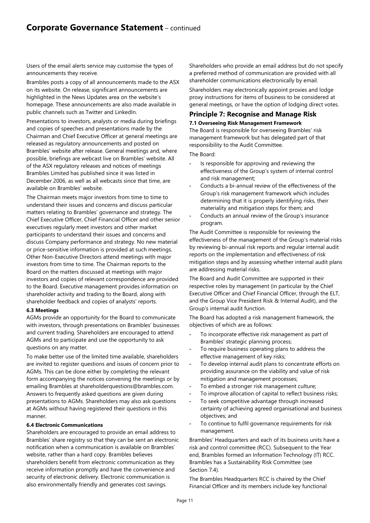Users of the email alerts service may customise the types of announcements they receive.

Brambles posts a copy of all announcements made to the ASX on its website. On release, significant announcements are highlighted in the News Updates area on the website's homepage. These announcements are also made available in public channels such as Twitter and LinkedIn.

Presentations to investors, analysts or media during briefings and copies of speeches and presentations made by the Chairman and Chief Executive Officer at general meetings are released as regulatory announcements and posted on Brambles' website after release. General meetings and, where possible, briefings are webcast live on Brambles' website. All of the ASX regulatory releases and notices of meetings Brambles Limited has published since it was listed in December 2006, as well as all webcasts since that time, are available on Brambles' website.

The Chairman meets major investors from time to time to understand their issues and concerns and discuss particular matters relating to Brambles' governance and strategy. The Chief Executive Officer, Chief Financial Officer and other senior executives regularly meet investors and other market participants to understand their issues and concerns and discuss Company performance and strategy. No new material or price-sensitive information is provided at such meetings. Other Non-Executive Directors attend meetings with major investors from time to time. The Chairman reports to the Board on the matters discussed at meetings with major investors and copies of relevant correspondence are provided to the Board. Executive management provides information on shareholder activity and trading to the Board, along with shareholder feedback and copies of analysts' reports.

## **6.3 Meetings**

AGMs provide an opportunity for the Board to communicate with investors, through presentations on Brambles' businesses and current trading. Shareholders are encouraged to attend AGMs and to participate and use the opportunity to ask questions on any matter.

To make better use of the limited time available, shareholders are invited to register questions and issues of concern prior to AGMs. This can be done either by completing the relevant form accompanying the notices convening the meetings or by emailing Brambles at shareholderquestions@brambles.com. Answers to frequently asked questions are given during presentations to AGMs. Shareholders may also ask questions at AGMs without having registered their questions in this manner.

## **6.4 Electronic Communications**

Shareholders are encouraged to provide an email address to Brambles' share registry so that they can be sent an electronic notification when a communication is available on Brambles' website, rather than a hard copy. Brambles believes shareholders benefit from electronic communication as they receive information promptly and have the convenience and security of electronic delivery. Electronic communication is also environmentally friendly and generates cost savings.

Shareholders who provide an email address but do not specify a preferred method of communication are provided with all shareholder communications electronically by email.

Shareholders may electronically appoint proxies and lodge proxy instructions for items of business to be considered at general meetings, or have the option of lodging direct votes.

## **Principle 7: Recognise and Manage Risk**

**7.1 Overseeing Risk Management Framework**  The Board is responsible for overseeing Brambles' risk management framework but has delegated part of that responsibility to the Audit Committee.

The Board:

- Is responsible for approving and reviewing the effectiveness of the Group's system of internal control and risk management;
- Conducts a bi-annual review of the effectiveness of the Group's risk management framework which includes determining that it is properly identifying risks, their materiality and mitigation steps for them; and
- Conducts an annual review of the Group's insurance program.

The Audit Committee is responsible for reviewing the effectiveness of the management of the Group's material risks by reviewing bi-annual risk reports and regular internal audit reports on the implementation and effectiveness of risk mitigation steps and by assessing whether internal audit plans are addressing material risks.

The Board and Audit Committee are supported in their respective roles by management (in particular by the Chief Executive Officer and Chief Financial Officer, through the ELT, and the Group Vice President Risk & Internal Audit), and the Group's internal audit function.

The Board has adopted a risk management framework, the objectives of which are as follows:

- To incorporate effective risk management as part of Brambles' strategic planning process;
- To require business operating plans to address the effective management of key risks;
- To develop internal audit plans to concentrate efforts on providing assurance on the viability and value of risk mitigation and management processes;
- To embed a stronger risk management culture;
- To improve allocation of capital to reflect business risks;
- To seek competitive advantage through increased certainty of achieving agreed organisational and business objectives; and
- To continue to fulfil governance requirements for risk management.

Brambles' Headquarters and each of its business units have a risk and control committee (RCC). Subsequent to the Year end, Brambles formed an Information Technology (IT) RCC. Brambles has a Sustainability Risk Committee (see Section 7.4).

The Brambles Headquarters RCC is chaired by the Chief Financial Officer and its members include key functional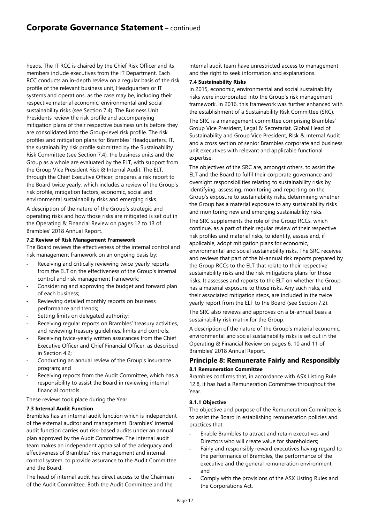heads. The IT RCC is chaired by the Chief Risk Officer and its members include executives from the IT Department. Each RCC conducts an in-depth review on a regular basis of the risk profile of the relevant business unit, Headquarters or IT systems and operations, as the case may be, including their respective material economic, environmental and social sustainability risks (see Section 7.4). The Business Unit Presidents review the risk profile and accompanying mitigation plans of their respective business units before they are consolidated into the Group-level risk profile. The risk profiles and mitigation plans for Brambles' Headquarters, IT, the sustainability risk profile submitted by the Sustainability Risk Committee (see Section 7.4), the business units and the Group as a whole are evaluated by the ELT, with support from the Group Vice President Risk & Internal Audit. The ELT, through the Chief Executive Officer, prepares a risk report to the Board twice yearly, which includes a review of the Group's risk profile, mitigation factors, economic, social and environmental sustainability risks and emerging risks.

A description of the nature of the Group's strategic and operating risks and how those risks are mitigated is set out in the Operating & Financial Review on pages 12 to 13 of Brambles' 2018 Annual Report.

## **7.2 Review of Risk Management Framework**

The Board reviews the effectiveness of the internal control and risk management framework on an ongoing basis by:

- Receiving and critically reviewing twice-yearly reports from the ELT on the effectiveness of the Group's internal control and risk management framework;
- Considering and approving the budget and forward plan of each business;
- Reviewing detailed monthly reports on business performance and trends;
- Setting limits on delegated authority;
- Receiving regular reports on Brambles' treasury activities, and reviewing treasury guidelines, limits and controls;
- Receiving twice-yearly written assurances from the Chief Executive Officer and Chief Financial Officer, as described in Section 4.2;
- Conducting an annual review of the Group's insurance program; and
- Receiving reports from the Audit Committee, which has a responsibility to assist the Board in reviewing internal financial controls.

These reviews took place during the Year.

## **7.3 Internal Audit Function**

Brambles has an internal audit function which is independent of the external auditor and management. Brambles' internal audit function carries out risk-based audits under an annual plan approved by the Audit Committee. The internal audit team makes an independent appraisal of the adequacy and effectiveness of Brambles' risk management and internal control system, to provide assurance to the Audit Committee and the Board.

The head of internal audit has direct access to the Chairman of the Audit Committee. Both the Audit Committee and the

internal audit team have unrestricted access to management and the right to seek information and explanations.

#### **7.4 Sustainability Risks**

In 2015, economic, environmental and social sustainability risks were incorporated into the Group's risk management framework. In 2016, this framework was further enhanced with the establishment of a Sustainability Risk Committee (SRC).

The SRC is a management committee comprising Brambles' Group Vice President, Legal & Secretariat, Global Head of Sustainability and Group Vice President, Risk & Internal Audit and a cross section of senior Brambles corporate and business unit executives with relevant and applicable functional expertise.

The objectives of the SRC are, amongst others, to assist the ELT and the Board to fulfil their corporate governance and oversight responsibilities relating to sustainability risks by identifying, assessing, monitoring and reporting on the Group's exposure to sustainability risks, determining whether the Group has a material exposure to any sustainability risks and monitoring new and emerging sustainability risks.

The SRC supplements the role of the Group RCCs, which continue, as a part of their regular review of their respective risk profiles and material risks, to identify, assess and, if applicable, adopt mitigation plans for economic, environmental and social sustainability risks. The SRC receives and reviews that part of the bi-annual risk reports prepared by the Group RCCs to the ELT that relate to their respective sustainability risks and the risk mitigations plans for those risks. It assesses and reports to the ELT on whether the Group has a material exposure to those risks. Any such risks, and their associated mitigation steps, are included in the twice yearly report from the ELT to the Board (see Section 7.2).

The SRC also reviews and approves on a bi-annual basis a sustainability risk matrix for the Group.

A description of the nature of the Group's material economic, environmental and social sustainability risks is set out in the Operating & Financial Review on pages 6, 10 and 11 of Brambles' 2018 Annual Report.

## **Principle 8: Remunerate Fairly and Responsibly 8.1 Remuneration Committee**

Brambles confirms that, in accordance with ASX Listing Rule 12.8, it has had a Remuneration Committee throughout the Year.

## **8.1.1 Objective**

The objective and purpose of the Remuneration Committee is to assist the Board in establishing remuneration policies and practices that:

- Enable Brambles to attract and retain executives and Directors who will create value for shareholders;
- Fairly and responsibly reward executives having regard to the performance of Brambles, the performance of the executive and the general remuneration environment; and
- Comply with the provisions of the ASX Listing Rules and the Corporations Act.